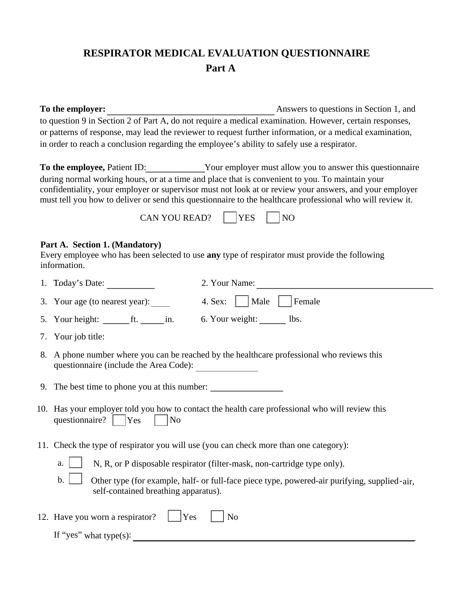## **RESPIRATOR MEDICAL EVALUATION QUESTIONNAIRE Part A**

**To the employer:** Answers to questions in Section 1, and to question 9 in Section 2 of Part A, do not require a medical examination. However, certain responses, or patterns of response, may lead the reviewer to request further information, or a medical examination, in order to reach a conclusion regarding the employee's ability to safely use a respirator.

**To the employee**, Patient ID: Your employer must allow you to answer this questionnaire during normal working hours, or at a time and place that is convenient to you. To maintain your confidentiality, your employer or supervisor must not look at or review your answers, and your employer must tell you how to deliver or send this questionnaire to the healthcare professional who will review it.

| CAN YOU READ? | IYES |  |
|---------------|------|--|
|---------------|------|--|

## **Part A. Section 1. (Mandatory)**

Every employee who has been selected to use **any** type of respirator must provide the following information.

| 1. Today's Date:                                              | 2. Your Name:                                                                                                                                                                    |
|---------------------------------------------------------------|----------------------------------------------------------------------------------------------------------------------------------------------------------------------------------|
| 3. Your age (to nearest year):                                | 4. Sex:     Male  <br>Female                                                                                                                                                     |
| 5. Your height: $f_{\text{max}}$ ft. $\frac{1}{\sqrt{2}}$ in. | 6. Your weight: _______ lbs.                                                                                                                                                     |
| 7. Your job title:                                            |                                                                                                                                                                                  |
|                                                               | 8. A phone number where you can be reached by the healthcare professional who reviews this                                                                                       |
|                                                               |                                                                                                                                                                                  |
| questionnaire?   Yes<br>N <sub>o</sub>                        | 10. Has your employer told you how to contact the health care professional who will review this                                                                                  |
|                                                               | 11. Check the type of respirator you will use (you can check more than one category):                                                                                            |
| a.                                                            | N, R, or P disposable respirator (filter-mask, non-cartridge type only).                                                                                                         |
| $b$ .                                                         | Other type (for example, half- or full-face piece type, powered-air purifying, supplied-air,                                                                                     |
| 12. Have you worn a respirator?                               | N <sub>o</sub>                                                                                                                                                                   |
|                                                               |                                                                                                                                                                                  |
|                                                               | questionnaire (include the Area Code):<br>9. The best time to phone you at this number:<br>self-contained breathing apparatus).<br>Yes<br>If "yes" what type(s): $\qquad \qquad$ |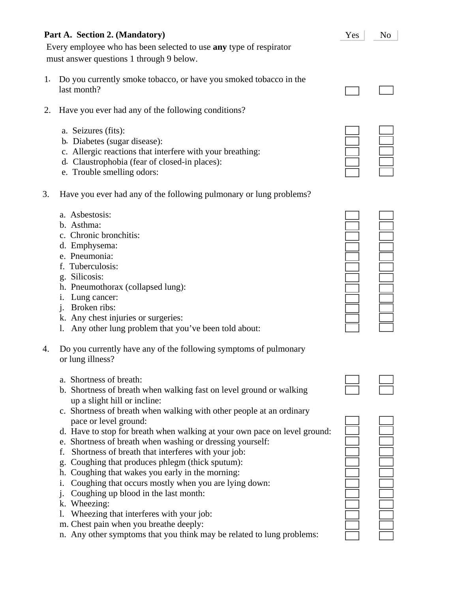## **Part A. Section 2. (Mandatory)**

Every employee who has been selected to use **any** type of respirator must answer questions 1 through 9 below.

- 1. Do you currently smoke tobacco, or have you smoked tobacco in the last month?
- 2. Have you ever had any of the following conditions?
	- a. Seizures (fits):
	- b. Diabetes (sugar disease):
	- c. Allergic reactions that interfere with your breathing:
	- d. Claustrophobia (fear of closed-in places):
	- e. Trouble smelling odors:
- 3. Have you ever had any of the following pulmonary or lung problems?
	- a. Asbestosis:
	- b. Asthma:
	- c. Chronic bronchitis:
	- d. Emphysema:
	- e. Pneumonia:
	- f. Tuberculosis:
	- g. Silicosis:
	- h. Pneumothorax (collapsed lung):
	- i. Lung cancer:
	- j. Broken ribs:
	- k. Any chest injuries or surgeries:
	- l. Any other lung problem that you've been told about:
- 4. Do you currently have any of the following symptoms of pulmonary or lung illness?
	- a. Shortness of breath:
	- b. Shortness of breath when walking fast on level ground or walking up a slight hill or incline:
	- c. Shortness of breath when walking with other people at an ordinary pace or level ground:
	- d. Have to stop for breath when walking at your own pace on level ground:
	- e. Shortness of breath when washing or dressing yourself:
	- f. Shortness of breath that interferes with your job:
	- g. Coughing that produces phlegm (thick sputum):
	- h. Coughing that wakes you early in the morning:
	- i. Coughing that occurs mostly when you are lying down:
	- j. Coughing up blood in the last month:
	- k. Wheezing:
	- l. Wheezing that interferes with your job:
	- m. Chest pain when you breathe deeply:
	- n. Any other symptoms that you think may be related to lung problems:







| ۰ |        |
|---|--------|
|   | _      |
| - | _      |
|   | =<br>۰ |
|   |        |
|   |        |
| ۰ |        |
|   | ∸      |
|   |        |
|   |        |
|   |        |

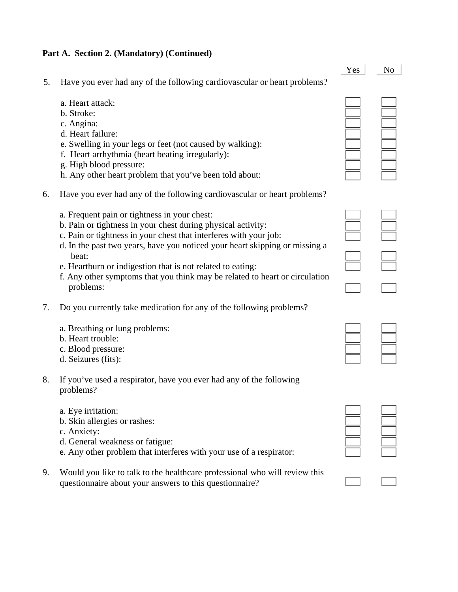## **Part A. Section 2. (Mandatory) (Continued)**

|    |                                                                                                                                                                                                                                                                                                                                                                                                                                     | Yes | N <sub>o</sub> |
|----|-------------------------------------------------------------------------------------------------------------------------------------------------------------------------------------------------------------------------------------------------------------------------------------------------------------------------------------------------------------------------------------------------------------------------------------|-----|----------------|
| 5. | Have you ever had any of the following cardiovascular or heart problems?                                                                                                                                                                                                                                                                                                                                                            |     |                |
|    | a. Heart attack:<br>b. Stroke:<br>c. Angina:<br>d. Heart failure:<br>e. Swelling in your legs or feet (not caused by walking):<br>f. Heart arrhythmia (heart beating irregularly):<br>g. High blood pressure:<br>h. Any other heart problem that you've been told about:                                                                                                                                                            |     |                |
| 6. | Have you ever had any of the following cardiovascular or heart problems?                                                                                                                                                                                                                                                                                                                                                            |     |                |
|    | a. Frequent pain or tightness in your chest:<br>b. Pain or tightness in your chest during physical activity:<br>c. Pain or tightness in your chest that interferes with your job:<br>d. In the past two years, have you noticed your heart skipping or missing a<br>beat:<br>e. Heartburn or indigestion that is not related to eating:<br>f. Any other symptoms that you think may be related to heart or circulation<br>problems: |     |                |
| 7. | Do you currently take medication for any of the following problems?                                                                                                                                                                                                                                                                                                                                                                 |     |                |
|    | a. Breathing or lung problems:<br>b. Heart trouble:<br>c. Blood pressure:<br>d. Seizures (fits):                                                                                                                                                                                                                                                                                                                                    |     |                |
| 8. | If you've used a respirator, have you ever had any of the following<br>problems?                                                                                                                                                                                                                                                                                                                                                    |     |                |
|    | a. Eye irritation:                                                                                                                                                                                                                                                                                                                                                                                                                  |     |                |

- b. Skin allergies or rashes:
- c. Anxiety:
- d. General weakness or fatigue:
- e. Any other problem that interferes with your use of a respirator:
- 9. Would you like to talk to the healthcare professional who will review this questionnaire about your answers to this questionnaire?

| ________   | ____<br>________ |
|------------|------------------|
| ______     | __               |
| __<br>____ | __<br>____       |
| ____       | _____            |